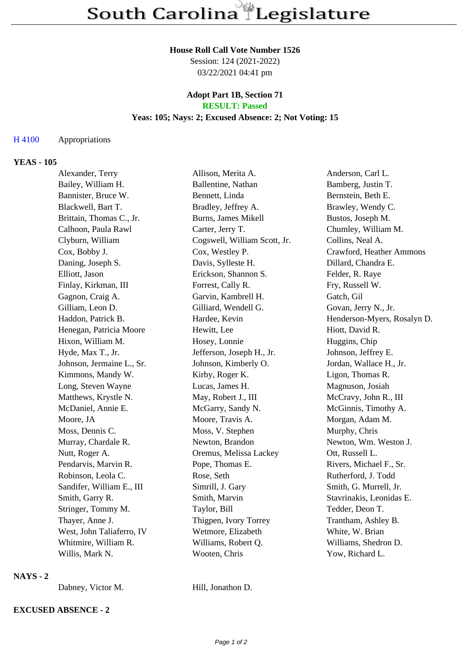#### **House Roll Call Vote Number 1526**

Session: 124 (2021-2022) 03/22/2021 04:41 pm

#### **Adopt Part 1B, Section 71 RESULT: Passed**

## **Yeas: 105; Nays: 2; Excused Absence: 2; Not Voting: 15**

## H 4100 Appropriations

### **YEAS - 105**

| Alexander, Terry          | Allison, Merita A.           | Anderson, Carl L.           |
|---------------------------|------------------------------|-----------------------------|
| Bailey, William H.        | Ballentine, Nathan           | Bamberg, Justin T.          |
| Bannister, Bruce W.       | Bennett, Linda               | Bernstein, Beth E.          |
| Blackwell, Bart T.        | Bradley, Jeffrey A.          | Brawley, Wendy C.           |
| Brittain, Thomas C., Jr.  | <b>Burns, James Mikell</b>   | Bustos, Joseph M.           |
| Calhoon, Paula Rawl       | Carter, Jerry T.             | Chumley, William M.         |
| Clyburn, William          | Cogswell, William Scott, Jr. | Collins, Neal A.            |
| Cox, Bobby J.             | Cox, Westley P.              | Crawford, Heather Ammons    |
| Daning, Joseph S.         | Davis, Sylleste H.           | Dillard, Chandra E.         |
| Elliott, Jason            | Erickson, Shannon S.         | Felder, R. Raye             |
| Finlay, Kirkman, III      | Forrest, Cally R.            | Fry, Russell W.             |
| Gagnon, Craig A.          | Garvin, Kambrell H.          | Gatch, Gil                  |
| Gilliam, Leon D.          | Gilliard, Wendell G.         | Govan, Jerry N., Jr.        |
| Haddon, Patrick B.        | Hardee, Kevin                | Henderson-Myers, Rosalyn D. |
| Henegan, Patricia Moore   | Hewitt, Lee                  | Hiott, David R.             |
| Hixon, William M.         | Hosey, Lonnie                | Huggins, Chip               |
| Hyde, Max T., Jr.         | Jefferson, Joseph H., Jr.    | Johnson, Jeffrey E.         |
| Johnson, Jermaine L., Sr. | Johnson, Kimberly O.         | Jordan, Wallace H., Jr.     |
| Kimmons, Mandy W.         | Kirby, Roger K.              | Ligon, Thomas R.            |
| Long, Steven Wayne        | Lucas, James H.              | Magnuson, Josiah            |
| Matthews, Krystle N.      | May, Robert J., III          | McCravy, John R., III       |
| McDaniel, Annie E.        | McGarry, Sandy N.            | McGinnis, Timothy A.        |
| Moore, JA                 | Moore, Travis A.             | Morgan, Adam M.             |
| Moss, Dennis C.           | Moss, V. Stephen             | Murphy, Chris               |
| Murray, Chardale R.       | Newton, Brandon              | Newton, Wm. Weston J.       |
| Nutt, Roger A.            | Oremus, Melissa Lackey       | Ott, Russell L.             |
| Pendarvis, Marvin R.      | Pope, Thomas E.              | Rivers, Michael F., Sr.     |
| Robinson, Leola C.        | Rose, Seth                   | Rutherford, J. Todd         |
| Sandifer, William E., III | Simrill, J. Gary             | Smith, G. Murrell, Jr.      |
| Smith, Garry R.           | Smith, Marvin                | Stavrinakis, Leonidas E.    |
| Stringer, Tommy M.        | Taylor, Bill                 | Tedder, Deon T.             |
| Thayer, Anne J.           | Thigpen, Ivory Torrey        | Trantham, Ashley B.         |
| West, John Taliaferro, IV | Wetmore, Elizabeth           | White, W. Brian             |
| Whitmire, William R.      | Williams, Robert Q.          | Williams, Shedron D.        |
| Willis, Mark N.           | Wooten, Chris                | Yow, Richard L.             |

## **NAYS - 2**

Dabney, Victor M. Hill, Jonathon D.

# **EXCUSED ABSENCE - 2**